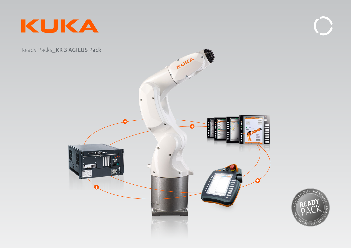





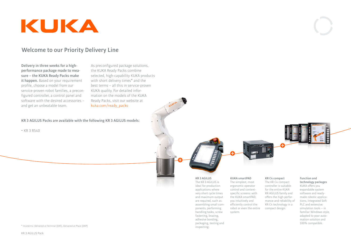

### **Welcome to our Priority Delivery Line**

**Delivery in three weeks for a highperformance package made to measure – the KUKA Ready Packs make it happen.** Based on your requirement profile, choose a model from our service-proven robot families, a preconfigured controller, a control panel and software with the desired accessories – and get an unbeatable team.

As preconfigured package solutions, the KUKA Ready Packs combine selected, high-capability KUKA products with short delivery times\* and the best terms – all this in service-proven KUKA quality. For detailed information on the models of the KUKA Ready Packs, visit our website at kuka.com/ready\_packs

### **KR 3 AGILUS Packs are available with the following KR 3 AGILUS models:**

• KR 3 R540

# **KUKA smartPAD KR C4 compact**

The simplest, most ergonomic operator control and contextspecific screens: with the KUKA smartPAD, you intuitively and efficiently control the robot or even the entire system. very short cycle times and maximum output are required, such as assembling small components, performing handling tasks, screw

**KR 3 AGILUS** The KR 3 AGILUS is ideal for production applications where

fastening, brazing, adhesive bonding, packaging, testing and

inspecting.

The KR C4 compact

controller is suitable for the entire KUKA KR AGILUS family and offers the high performance and reliability of KR C4 technology in a compact design.

### **Function and**

**technology packages** KUKA offers you expandable system software and readymade robotic applications, integrated Soft PLC and extensive simulation tools – in familiar Windows style, adapted to your automation solution and 100% compatible.

#### \* Incoterms: Delivered at Terminal (DAT), Delivered at Place (DAP)